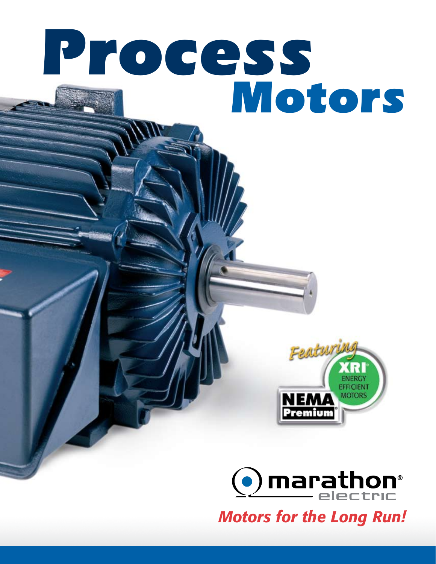# *Process Motors*





*Motors for the Long Run!*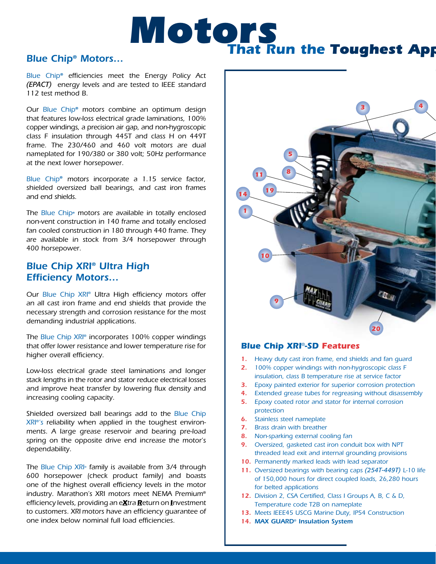

#### *Blue Chip® Motors…*

*Blue Chip® efficiencies meet the Energy Policy Act (EPACT) energy levels and are tested to IEEE standard 112 test method B.*

*Our Blue Chip® motors combine an optimum design that features low-loss electrical grade laminations, 100% copper windings, a precision air gap, and non-hygroscopic class F insulation through 445T and class H on 449T frame. The 230/460 and 460 volt motors are dual nameplated for 190/380 or 380 volt; 50Hz performance at the next lower horsepower.*

*Blue Chip® motors incorporate a 1.15 service factor, shielded oversized ball bearings, and cast iron frames and end shields.*

*The Blue Chip® motors are available in totally enclosed non-vent construction in 140 frame and totally enclosed fan cooled construction in 180 through 440 frame. They are available in stock from 3/4 horsepower through 400 horsepower.*

#### *Blue Chip XRI® Ultra High Efficiency Motors…*

*Our Blue Chip XRI® Ultra High efficiency motors offer an all cast iron frame and end shields that provide the necessary strength and corrosion resistance for the most demanding industrial applications.*

*The Blue Chip XRI® incorporates 100% copper windings that offer lower resistance and lower temperature rise for higher overall efficiency.* 

*Low-loss electrical grade steel laminations and longer stack lengths in the rotor and stator reduce electrical losses and improve heat transfer by lowering flux density and increasing cooling capacity.*

*Shielded oversized ball bearings add to the Blue Chip XRI®'s reliability when applied in the toughest environments. A large grease reservoir and bearing pre-load spring on the opposite drive end increase the motor's dependability.*

*The Blue Chip XRI® family is available from 3/4 through 600 horsepower (check product family) and boasts one of the highest overall efficiency levels in the motor industry. Marathon's XRI motors meet NEMA Premium® efficiency levels, providing an eXtra Return on Investment to customers. XRI motors have an efficiency guarantee of one index below nominal full load efficiencies.* 



#### **Blue Chip XRI**®**-SD Features Blue Chip XRI**®**-SD Features**

- *1. Heavy duty cast iron frame, end shields and fan guard*
- *2. 100% copper windings with non-hygroscopic class F insulation, class B temperature rise at service factor*
- *3. Epoxy painted exterior for superior corrosion protection*
- *4. Extended grease tubes for regreasing without disassembly*
- *5. Epoxy coated rotor and stator for internal corrosion protection*
- *6. Stainless steel nameplate*
- *7. Brass drain with breather*
- *8. Non-sparking external cooling fan*
- *9. Oversized, gasketed cast iron conduit box with NPT threaded lead exit and internal grounding provisions*
- *10. Permanently marked leads with lead separator*
- *11. Oversized bearings with bearing caps (254T-449T) L-10 life of 150,000 hours for direct coupled loads, 26,280 hours for belted applications*
- *12. Division 2, CSA Certified, Class I Groups A, B, C & D, Temperature code T2B on nameplate*
- *13. Meets IEEE45 USCG Marine Duty, IP54 Construction*
- *14. Max Guard® Insulation System*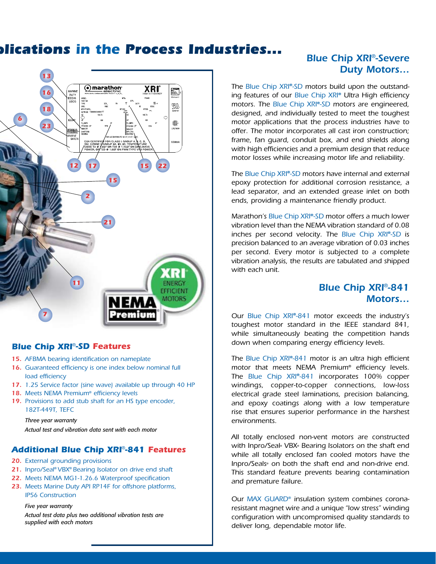## **That Run the** *Toughest Applications* **in the** *Process Industries...*



#### **Blue Chip XRI**®**-SD Features Blue Chip XRI**®**-SD Features**

- *15. AFBMA bearing identification on nameplate*
- *16. Guaranteed efficiency is one index below nominal full load efficiency*
- *17. 1.25 Service factor (sine wave) available up through 40 HP*
- *18. Meets NEMA Premium® efficiency levels*
- *19. Provisions to add stub shaft for an HS type encoder, 182T-449T, TEFC*

*Three year warranty Actual test and vibration data sent with each motor*

#### **Additional Blue Chip XRI**®**-841 Features**

- *20. External grounding provisions*
- *21. Inpro/Seal® VBX® Bearing Isolator on drive end shaft*
- *22. Meets NEMA MG1-1.26.6 Waterproof specification*
- *23. Meets Marine Duty API RP14F for offshore platforms, IP56 Construction*

#### *Five year warranty*

*Actual test data plus two additional vibration tests are supplied with each motors*

## *Blue Chip XRI*®*-Severe Duty Motors…*

*The Blue Chip XRI®-SD motors build upon the outstanding features of our Blue Chip XRI® Ultra High efficiency motors. The Blue Chip XRI®-SD motors are engineered, designed, and individually tested to meet the toughest motor applications that the process industries have to offer. The motor incorporates all cast iron construction; frame, fan guard, conduit box, and end shields along with high efficiencies and a premium design that reduce motor losses while increasing motor life and reliability.*

*The Blue Chip XRI®-SD motors have internal and external epoxy protection for additional corrosion resistance, a lead separator, and an extended grease inlet on both ends, providing a maintenance friendly product.*

*Marathon's Blue Chip XRI®-SD motor offers a much lower vibration level than the NEMA vibration standard of 0.08 inches per second velocity. The Blue Chip XRI®-SD is precision balanced to an average vibration of 0.03 inches per second. Every motor is subjected to a complete vibration analysis, the results are tabulated and shipped with each unit.*

## *Blue Chip XRI*®*-841 Motors…*

*Our Blue Chip XRI®-841 motor exceeds the industry's toughest motor standard in the IEEE standard 841, while simultaneously beating the competition hands down when comparing energy efficiency levels.*

*The Blue Chip XRI®-841 motor is an ultra high efficient motor that meets NEMA Premium® efficiency levels. The Blue Chip XRI®-841 incorporates 100% copper windings, copper-to-copper connections, low-loss electrical grade steel laminations, precision balancing, and epoxy coatings along with a low temperature rise that ensures superior performance in the harshest environments.*

*All totally enclosed non-vent motors are constructed with Inpro/Seal® VBX® Bearing Isolators on the shaft end while all totally enclosed fan cooled motors have the Inpro/Seals® on both the shaft end and non-drive end. This standard feature prevents bearing contamination and premature failure.*

*Our MAX GUARD® insulation system combines coronaresistant magnet wire and a unique "low stress" winding configuration with uncompromised quality standards to deliver long, dependable motor life.*